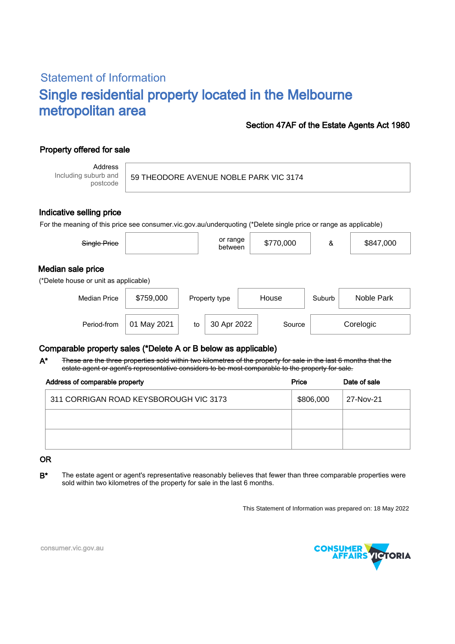# Statement of Information Single residential property located in the Melbourne metropolitan area

### Section 47AF of the Estate Agents Act 1980

## Property offered for sale

Address Including suburb and postcode

#### 59 THEODORE AVENUE NOBLE PARK VIC 3174

#### Indicative selling price

For the meaning of this price see consumer.vic.gov.au/underquoting (\*Delete single price or range as applicable)

| Single Price                                               |             |    | or range<br>between    |  | \$770,000 | &          | \$847,000 |  |  |
|------------------------------------------------------------|-------------|----|------------------------|--|-----------|------------|-----------|--|--|
| Median sale price<br>(*Delete house or unit as applicable) |             |    |                        |  |           |            |           |  |  |
| <b>Median Price</b>                                        | \$759,000   |    | House<br>Property type |  | Suburb    | Noble Park |           |  |  |
| Period-from                                                | 01 May 2021 | to | 30 Apr 2022            |  | Source    |            | Corelogic |  |  |

#### Comparable property sales (\*Delete A or B below as applicable)

These are the three properties sold within two kilometres of the property for sale in the last 6 months that the estate agent or agent's representative considers to be most comparable to the property for sale. A\*

| Address of comparable property         | Price     | Date of sale |  |
|----------------------------------------|-----------|--------------|--|
| 311 CORRIGAN ROAD KEYSBOROUGH VIC 3173 | \$806,000 | 27-Nov-21    |  |
|                                        |           |              |  |
|                                        |           |              |  |

#### OR

B<sup>\*</sup> The estate agent or agent's representative reasonably believes that fewer than three comparable properties were sold within two kilometres of the property for sale in the last 6 months.

This Statement of Information was prepared on: 18 May 2022



consumer.vic.gov.au